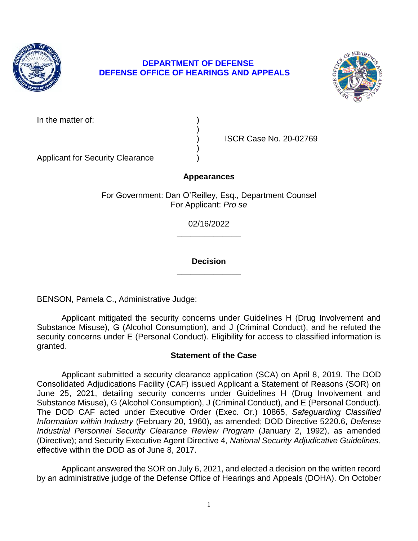

# **DEPARTMENT OF DEFENSE DEFENSE OFFICE OF HEARINGS AND APPEALS**

)

)



In the matter of:

Applicant for Security Clearance )

) ISCR Case No. 20-02769

# **Appearances**

For Government: Dan O'Reilley, Esq., Department Counsel For Applicant: *Pro se* 

> **\_\_\_\_\_\_\_\_\_\_\_\_\_\_**  02/16/2022

### **\_\_\_\_\_\_\_\_\_\_\_\_\_\_ Decision**

BENSON, Pamela C., Administrative Judge:

 Applicant mitigated the security concerns under Guidelines H (Drug Involvement and Substance Misuse), G (Alcohol Consumption), and J (Criminal Conduct), and he refuted the security concerns under E (Personal Conduct). Eligibility for access to classified information is granted.

# **Statement of the Case**

 Applicant submitted a security clearance application (SCA) on April 8, 2019. The DOD Consolidated Adjudications Facility (CAF) issued Applicant a Statement of Reasons (SOR) on June 25, 2021, detailing security concerns under Guidelines H (Drug Involvement and Substance Misuse), G (Alcohol Consumption), J (Criminal Conduct), and E (Personal Conduct).  The DOD CAF acted under Executive Order (Exec. Or.) 10865, *Safeguarding Classified Industrial Personnel Security Clearance Review Program* (January 2, 1992), as amended (Directive); and Security Executive Agent Directive 4, *National Security Adjudicative Guidelines*, *Information within Industry* (February 20, 1960), as amended; DOD Directive 5220.6, *Defense*  effective within the DOD as of June 8, 2017.

 Applicant answered the SOR on July 6, 2021, and elected a decision on the written record by an administrative judge of the Defense Office of Hearings and Appeals (DOHA). On October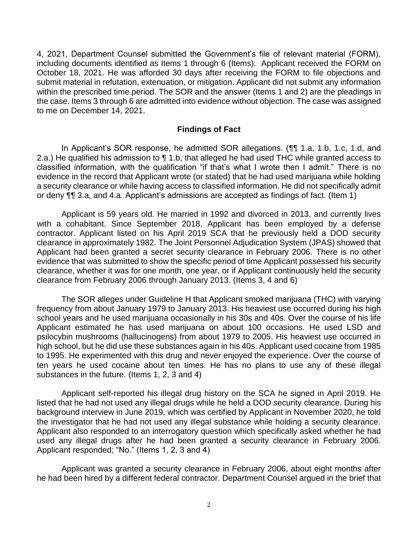4, 2021, Department Counsel submitted the Government's file of relevant material (FORM), including documents identified as Items 1 through 6 (Items). Applicant received the FORM on October 18, 2021. He was afforded 30 days after receiving the FORM to file objections and submit material in refutation, extenuation, or mitigation. Applicant did not submit any information within the prescribed time period. The SOR and the answer (Items 1 and 2) are the pleadings in the case. Items 3 through 6 are admitted into evidence without objection. The case was assigned to me on December 14, 2021.

#### **Findings of Fact**

2.a.) He qualified his admission to  $\P$  1.b, that alleged he had used THC while granted access to classified information, with the qualification "if that's what I wrote then I admit." There is no evidence in the record that Applicant wrote (or stated) that he had used marijuana while holding a security clearance or while having access to classified information. He did not specifically admit or deny ¶¶ 3.a, and 4.a. Applicant's admissions are accepted as findings of fact. (Item 1) In Applicant's SOR response, he admitted SOR allegations. (¶¶ 1.a, 1.b, 1.c, 1.d, and

 Applicant is 59 years old. He married in 1992 and divorced in 2013, and currently lives with a cohabitant. Since September 2018, Applicant has been employed by a defense contractor. Applicant listed on his April 2019 SCA that he previously held a DOD security clearance in approximately 1982. The Joint Personnel Adjudication System (JPAS) showed that Applicant had been granted a secret security clearance in February 2006. There is no other evidence that was submitted to show the specific period of time Applicant possessed his security clearance, whether it was for one month, one year, or if Applicant continuously held the security clearance from February 2006 through January 2013. (Items 3, 4 and 6)

 The SOR alleges under Guideline H that Applicant smoked marijuana (THC) with varying frequency from about January 1979 to January 2013. His heaviest use occurred during his high school years and he used marijuana occasionally in his 30s and 40s. Over the course of his life Applicant estimated he has used marijuana on about 100 occasions. He used LSD and psilocybin mushrooms (hallucinogens) from about 1979 to 2005. His heaviest use occurred in high school, but he did use these substances again in his 40s. Applicant used cocaine from 1985 to 1995. He experimented with this drug and never enjoyed the experience. Over the course of ten years he used cocaine about ten times. He has no plans to use any of these illegal substances in the future. (Items 1, 2, 3 and 4)

 Applicant self-reported his illegal drug history on the SCA he signed in April 2019. He listed that he had not used any illegal drugs while he held a DOD security clearance. During his background interview in June 2019, which was certified by Applicant in November 2020, he told the investigator that he had not used any illegal substance while holding a security clearance. Applicant also responded to an interrogatory question which specifically asked whether he had used any illegal drugs after he had been granted a security clearance in February 2006. Applicant responded; "No." (Items 1, 2, 3 and 4)

 Applicant was granted a security clearance in February 2006, about eight months after he had been hired by a different federal contractor. Department Counsel argued in the brief that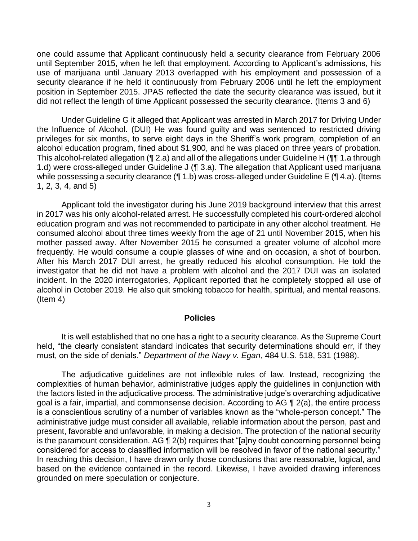one could assume that Applicant continuously held a security clearance from February 2006 until September 2015, when he left that employment. According to Applicant's admissions, his use of marijuana until January 2013 overlapped with his employment and possession of a security clearance if he held it continuously from February 2006 until he left the employment position in September 2015. JPAS reflected the date the security clearance was issued, but it did not reflect the length of time Applicant possessed the security clearance. (Items 3 and 6)

Under Guideline G it alleged that Applicant was arrested in March 2017 for Driving Under the Influence of Alcohol. (DUI) He was found guilty and was sentenced to restricted driving privileges for six months, to serve eight days in the Sheriff's work program, completion of an alcohol education program, fined about \$1,900, and he was placed on three years of probation. This alcohol-related allegation (¶ 2.a) and all of the allegations under Guideline H (¶¶ 1.a through 1.d) were cross-alleged under Guideline J (¶ 3.a). The allegation that Applicant used marijuana while possessing a security clearance (¶ 1.b) was cross-alleged under Guideline E (¶ 4.a). (Items 1, 2, 3, 4, and 5)

 in 2017 was his only alcohol-related arrest. He successfully completed his court-ordered alcohol consumed alcohol about three times weekly from the age of 21 until November 2015, when his mother passed away. After November 2015 he consumed a greater volume of alcohol more frequently. He would consume a couple glasses of wine and on occasion, a shot of bourbon. After his March 2017 DUI arrest, he greatly reduced his alcohol consumption. He told the investigator that he did not have a problem with alcohol and the 2017 DUI was an isolated incident. In the 2020 interrogatories, Applicant reported that he completely stopped all use of Applicant told the investigator during his June 2019 background interview that this arrest education program and was not recommended to participate in any other alcohol treatment. He alcohol in October 2019. He also quit smoking tobacco for health, spiritual, and mental reasons. (Item 4)

#### **Policies**

 It is well established that no one has a right to a security clearance. As the Supreme Court held, "the clearly consistent standard indicates that security determinations should err, if they must, on the side of denials." *Department of the Navy v. Egan*, 484 U.S. 518, 531 (1988).

 The adjudicative guidelines are not inflexible rules of law. Instead, recognizing the complexities of human behavior, administrative judges apply the guidelines in conjunction with the factors listed in the adjudicative process. The administrative judge's overarching adjudicative goal is a fair, impartial, and commonsense decision. According to AG  $\P$  2(a), the entire process is a conscientious scrutiny of a number of variables known as the "whole-person concept." The administrative judge must consider all available, reliable information about the person, past and present, favorable and unfavorable, in making a decision. The protection of the national security is the paramount consideration. AG ¶ 2(b) requires that "[a]ny doubt concerning personnel being considered for access to classified information will be resolved in favor of the national security." In reaching this decision, I have drawn only those conclusions that are reasonable, logical, and based on the evidence contained in the record. Likewise, I have avoided drawing inferences grounded on mere speculation or conjecture.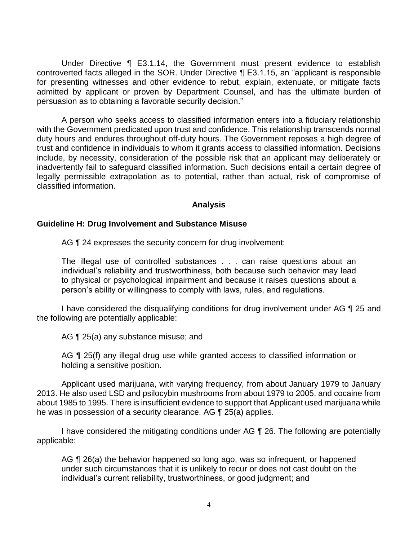Under Directive ¶ E3.1.14, the Government must present evidence to establish controverted facts alleged in the SOR. Under Directive ¶ E3.1.15, an "applicant is responsible for presenting witnesses and other evidence to rebut, explain, extenuate, or mitigate facts admitted by applicant or proven by Department Counsel, and has the ultimate burden of persuasion as to obtaining a favorable security decision."

 A person who seeks access to classified information enters into a fiduciary relationship with the Government predicated upon trust and confidence. This relationship transcends normal duty hours and endures throughout off-duty hours. The Government reposes a high degree of trust and confidence in individuals to whom it grants access to classified information. Decisions include, by necessity, consideration of the possible risk that an applicant may deliberately or inadvertently fail to safeguard classified information. Such decisions entail a certain degree of legally permissible extrapolation as to potential, rather than actual, risk of compromise of classified information.

#### **Analysis**

#### **Guideline H: Drug Involvement and Substance Misuse**

AG  $\P$  24 expresses the security concern for drug involvement:

The illegal use of controlled substances . . . can raise questions about an individual's reliability and trustworthiness, both because such behavior may lead to physical or psychological impairment and because it raises questions about a person's ability or willingness to comply with laws, rules, and regulations.

I have considered the disqualifying conditions for drug involvement under AG 1 25 and the following are potentially applicable:

AG ¶ 25(a) any substance misuse; and

AG ¶ 25(f) any illegal drug use while granted access to classified information or holding a sensitive position.

 Applicant used marijuana, with varying frequency, from about January 1979 to January 2013. He also used LSD and psilocybin mushrooms from about 1979 to 2005, and cocaine from about 1985 to 1995. There is insufficient evidence to support that Applicant used marijuana while he was in possession of a security clearance. AG ¶ 25(a) applies.

I have considered the mitigating conditions under AG ¶ 26. The following are potentially applicable:

AG  $\P$  26(a) the behavior happened so long ago, was so infrequent, or happened under such circumstances that it is unlikely to recur or does not cast doubt on the individual's current reliability, trustworthiness, or good judgment; and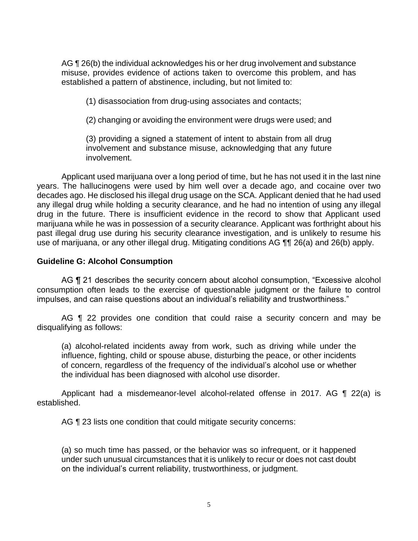AG ¶ 26(b) the individual acknowledges his or her drug involvement and substance misuse, provides evidence of actions taken to overcome this problem, and has established a pattern of abstinence, including, but not limited to:

(1) disassociation from drug-using associates and contacts;

(2) changing or avoiding the environment were drugs were used; and

 (3) providing a signed a statement of intent to abstain from all drug involvement and substance misuse, acknowledging that any future involvement.

 Applicant used marijuana over a long period of time, but he has not used it in the last nine years. The hallucinogens were used by him well over a decade ago, and cocaine over two decades ago. He disclosed his illegal drug usage on the SCA. Applicant denied that he had used any illegal drug while holding a security clearance, and he had no intention of using any illegal drug in the future. There is insufficient evidence in the record to show that Applicant used marijuana while he was in possession of a security clearance. Applicant was forthright about his past illegal drug use during his security clearance investigation, and is unlikely to resume his use of marijuana, or any other illegal drug. Mitigating conditions AG ¶¶ 26(a) and 26(b) apply.

### **Guideline G: Alcohol Consumption**

AG ¶ 21 describes the security concern about alcohol consumption, "Excessive alcohol consumption often leads to the exercise of questionable judgment or the failure to control impulses, and can raise questions about an individual's reliability and trustworthiness."

AG **[1** 22 provides one condition that could raise a security concern and may be disqualifying as follows:

 (a) alcohol-related incidents away from work, such as driving while under the influence, fighting, child or spouse abuse, disturbing the peace, or other incidents of concern, regardless of the frequency of the individual's alcohol use or whether the individual has been diagnosed with alcohol use disorder.

 Applicant had a misdemeanor-level alcohol-related offense in 2017. AG ¶ 22(a) is established.

AG ¶ 23 lists one condition that could mitigate security concerns:

(a) so much time has passed, or the behavior was so infrequent, or it happened under such unusual circumstances that it is unlikely to recur or does not cast doubt on the individual's current reliability, trustworthiness, or judgment.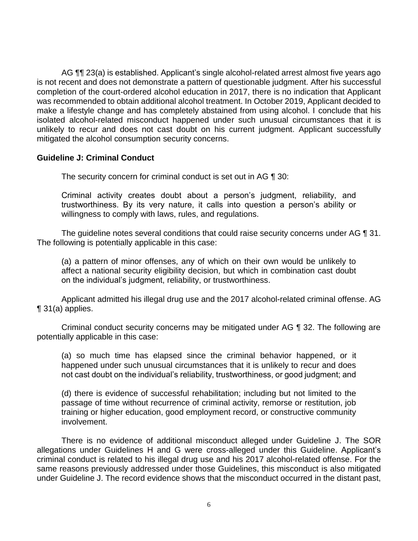AG ¶¶ 23(a) is established. Applicant's single alcohol-related arrest almost five years ago is not recent and does not demonstrate a pattern of questionable judgment. After his successful completion of the court-ordered alcohol education in 2017, there is no indication that Applicant was recommended to obtain additional alcohol treatment. In October 2019, Applicant decided to make a lifestyle change and has completely abstained from using alcohol. I conclude that his isolated alcohol-related misconduct happened under such unusual circumstances that it is unlikely to recur and does not cast doubt on his current judgment. Applicant successfully mitigated the alcohol consumption security concerns.

### **Guideline J: Criminal Conduct**

The security concern for criminal conduct is set out in AG ¶ 30:

Criminal activity creates doubt about a person's judgment, reliability, and trustworthiness. By its very nature, it calls into question a person's ability or willingness to comply with laws, rules, and regulations.

The guideline notes several conditions that could raise security concerns under AG ¶ 31. The following is potentially applicable in this case:

(a) a pattern of minor offenses, any of which on their own would be unlikely to affect a national security eligibility decision, but which in combination cast doubt on the individual's judgment, reliability, or trustworthiness.

Applicant admitted his illegal drug use and the 2017 alcohol-related criminal offense. AG ¶ 31(a) applies.

 Criminal conduct security concerns may be mitigated under AG ¶ 32. The following are potentially applicable in this case:

(a) so much time has elapsed since the criminal behavior happened, or it happened under such unusual circumstances that it is unlikely to recur and does not cast doubt on the individual's reliability, trustworthiness, or good judgment; and

(d) there is evidence of successful rehabilitation; including but not limited to the passage of time without recurrence of criminal activity, remorse or restitution, job training or higher education, good employment record, or constructive community involvement.

 There is no evidence of additional misconduct alleged under Guideline J. The SOR same reasons previously addressed under those Guidelines, this misconduct is also mitigated under Guideline J. The record evidence shows that the misconduct occurred in the distant past, allegations under Guidelines H and G were cross-alleged under this Guideline. Applicant's criminal conduct is related to his illegal drug use and his 2017 alcohol-related offense. For the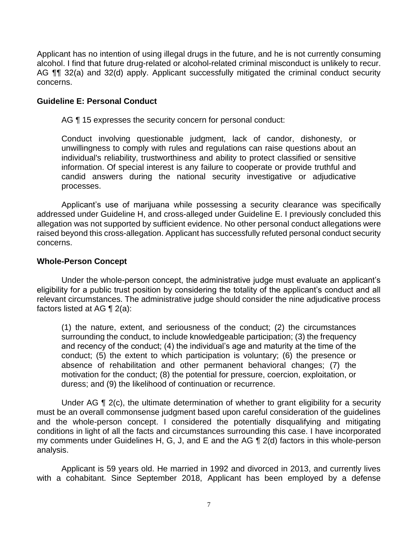Applicant has no intention of using illegal drugs in the future, and he is not currently consuming AG  $\P$  32(a) and 32(d) apply. Applicant successfully mitigated the criminal conduct security alcohol. I find that future drug-related or alcohol-related criminal misconduct is unlikely to recur. concerns.

### **Guideline E: Personal Conduct**

AG ¶ 15 expresses the security concern for personal conduct:

Conduct involving questionable judgment, lack of candor, dishonesty, or unwillingness to comply with rules and regulations can raise questions about an individual's reliability, trustworthiness and ability to protect classified or sensitive information. Of special interest is any failure to cooperate or provide truthful and candid answers during the national security investigative or adjudicative processes.

 Applicant's use of marijuana while possessing a security clearance was specifically allegation was not supported by sufficient evidence. No other personal conduct allegations were raised beyond this cross-allegation. Applicant has successfully refuted personal conduct security addressed under Guideline H, and cross-alleged under Guideline E. I previously concluded this concerns.

### **Whole-Person Concept**

Under the whole-person concept, the administrative judge must evaluate an applicant's eligibility for a public trust position by considering the totality of the applicant's conduct and all relevant circumstances. The administrative judge should consider the nine adjudicative process factors listed at AG ¶ 2(a):

(1) the nature, extent, and seriousness of the conduct; (2) the circumstances surrounding the conduct, to include knowledgeable participation; (3) the frequency and recency of the conduct; (4) the individual's age and maturity at the time of the conduct; (5) the extent to which participation is voluntary; (6) the presence or absence of rehabilitation and other permanent behavioral changes; (7) the motivation for the conduct; (8) the potential for pressure, coercion, exploitation, or duress; and (9) the likelihood of continuation or recurrence.

Under AG ¶ 2(c), the ultimate determination of whether to grant eligibility for a security must be an overall commonsense judgment based upon careful consideration of the guidelines and the whole-person concept. I considered the potentially disqualifying and mitigating conditions in light of all the facts and circumstances surrounding this case. I have incorporated my comments under Guidelines H, G, J, and E and the AG ¶ 2(d) factors in this whole-person analysis.

 Applicant is 59 years old. He married in 1992 and divorced in 2013, and currently lives with a cohabitant. Since September 2018, Applicant has been employed by a defense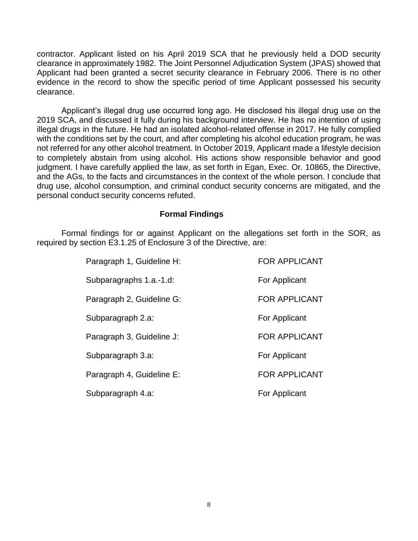contractor. Applicant listed on his April 2019 SCA that he previously held a DOD security clearance in approximately 1982. The Joint Personnel Adjudication System (JPAS) showed that Applicant had been granted a secret security clearance in February 2006. There is no other evidence in the record to show the specific period of time Applicant possessed his security clearance.

 Applicant's illegal drug use occurred long ago. He disclosed his illegal drug use on the 2019 SCA, and discussed it fully during his background interview. He has no intention of using illegal drugs in the future. He had an isolated alcohol-related offense in 2017. He fully complied with the conditions set by the court, and after completing his alcohol education program, he was not referred for any other alcohol treatment. In October 2019, Applicant made a lifestyle decision to completely abstain from using alcohol. His actions show responsible behavior and good judgment. I have carefully applied the law, as set forth in Egan, Exec. Or. 10865, the Directive, and the AGs, to the facts and circumstances in the context of the whole person. I conclude that drug use, alcohol consumption, and criminal conduct security concerns are mitigated, and the personal conduct security concerns refuted.

### **Formal Findings**

 Formal findings for or against Applicant on the allegations set forth in the SOR, as required by section E3.1.25 of Enclosure 3 of the Directive, are:

| Paragraph 1, Guideline H: | <b>FOR APPLICANT</b> |
|---------------------------|----------------------|
| Subparagraphs 1.a.-1.d:   | For Applicant        |
| Paragraph 2, Guideline G: | <b>FOR APPLICANT</b> |
| Subparagraph 2.a:         | For Applicant        |
| Paragraph 3, Guideline J: | <b>FOR APPLICANT</b> |
| Subparagraph 3.a:         | For Applicant        |
| Paragraph 4, Guideline E: | <b>FOR APPLICANT</b> |
| Subparagraph 4.a:         | For Applicant        |